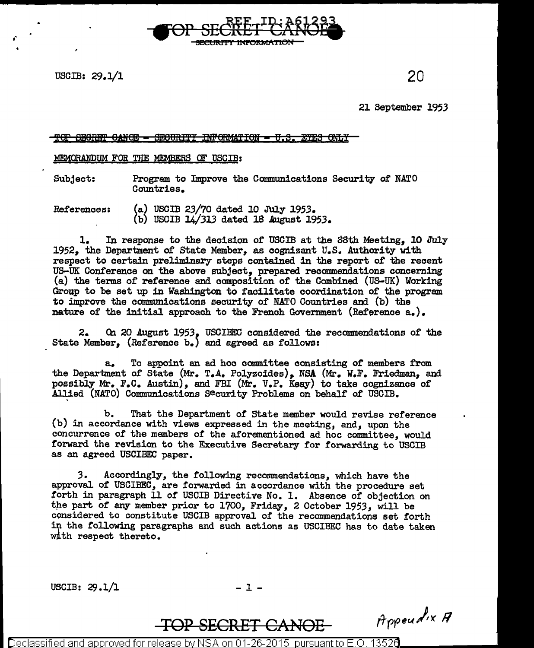USCIB:  $29.1/1$  20

,-

21 September 1953

## " TOP SEGRET GANOE - SEGURITY INFORMATION - V.S. EYES ONLY

## MEMORANDUM FOR THE MEMBERS OF USCIB:

Subject: Program to Improve the Communications Security of NATO Countries.

<del>INRORMATION</del>

References: (a) USCIB 23/70 dated 10 July 1953. (b) USCIB 14/313 dated 18 August 1953.

1. In response to the decision of USCIB at the 88th Meeting, 10 July 1952, the Department of State Member, as cognizant U.S. Authority with respect to certain preliminary steps contained in the report of the recent US-UK Conference on the above subject, prepared recommendations concerning (a) the terms or reference and composition or the Combined (US-UK) Working Group to be set up in Washington to facilitate coordination of the program to improve the communications security of NATO Countries and (b) the nature of the initial approach to the French Government (Reference a.).

2. On 20 August 1953, USCIBEC considered the recommendations of the State Member, (Reference b.) and agreed as follows:

a. To appoint an ad hoc committee consisting of members from the Department of State (Mr. T.A. Polyzoides), NSA (Mr. W.F. Friedman, and possibly M'r. F.c. Austin), and FBI (M'r. V.P. Keay) to take cognizance of Allied (NATO) Communications Security Problems on behalf of USCIB.

b. That the Department of State member would revise reference (b) in accordance with views expressed in the meeting, and, upon the concurrence of the members of the aforementioned ad hoc committee, would forward the revision to the Executive Secretary for forwarding to USCIB as an agreed USCIBEC paper.

*3.* Accordingly, the following recommendations, which have the approval or USCIBEC, are forwarded in accordance with the procedure set forth in paragraph 11 of USCIB Directive No. 1. Absence of objection on the part of any member prior to 1700, Friday, 2 October 1953, will be considered to constitute USCIB approval of the recommendations set forth in the following paragraphs and such actions as USCIBEC has to date taken wlth respect thereto.

USCIB:  $29.1/1$  - 1 -

Appeadix A

Declassified and approved for release by NSA on 01-26-2015  $\,$  pursuant to E.O. 13526  $\,$ 

TOP SECRET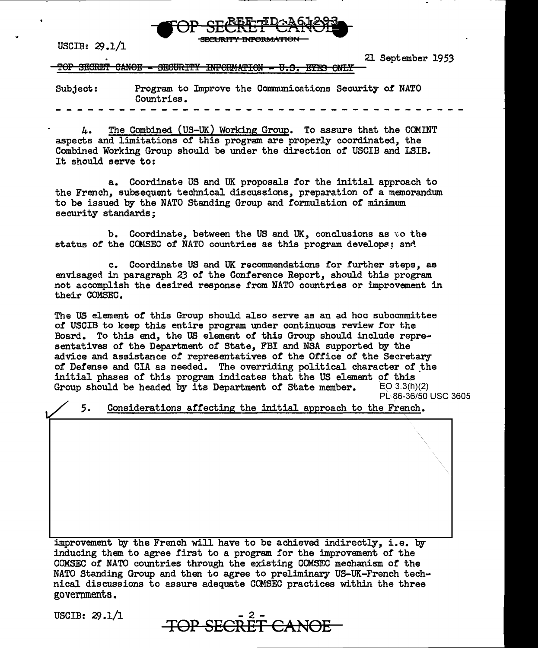

USCIB:  $29.1/1$ 

21 September 1953

TOP SECRET CANOE - SECURITY INFORMATION - U.S. ETES

Subject: Program to Improve the Connnunications Security of NATO Countries.

4. The Combined (US-UK) Working Group. To assure that the COMINT aspects and limitations of this program are properly coordinated, the Combined Working Group should be under the direction *of* USCIB and LSIB. It should serve to:

a. Coordinate US and UK proposals for the initial approach to the French, subsequent technical discussions, preparation of a memorandum. to be issued by the NATO Standing Group and formulation of minimum security standards;

b. Coordinate, between the US and UK, conclusions as to the status of the COMSEC of NATO countries as this program develops; and

c. Coordinate US and UK recommendations for further steps, as envisaged in paragraph 23 of the Conference Report, should this program not accomplish the desired response from NATO countries or :improvement in their COMSEC.

The US element of this Group should also serve as an ad hoc subcommittee of USCIB to keep this entire program under continuous review for the Board. To this end, the US element of this Group should include representatives of the Department of State, FBI and NSA supported by the advice and assistance *of* representatives of the Office or the Secretary of Defense and CIA as needed. The overriding political character of the initial phases *of* this program indicates that the US element *of* this Group should be headed by its Department of State member. PL .86-36/50 USC 3605

Considerations affecting the initial approach to the French. 5.

improvement by the French will have to be achieved indirectly, i.e. by inducing them to agree first to a program for the improvement of the COMSEC of NATO countries through the existing COMSEC mechanism of the NATO Standing Group and then to agree to preliminary US-UK-French technical discussions to assure adequate COMSEC practices within the three governments.

USCIB:  $29.1/1$ 

**TOP SECRET CANOE**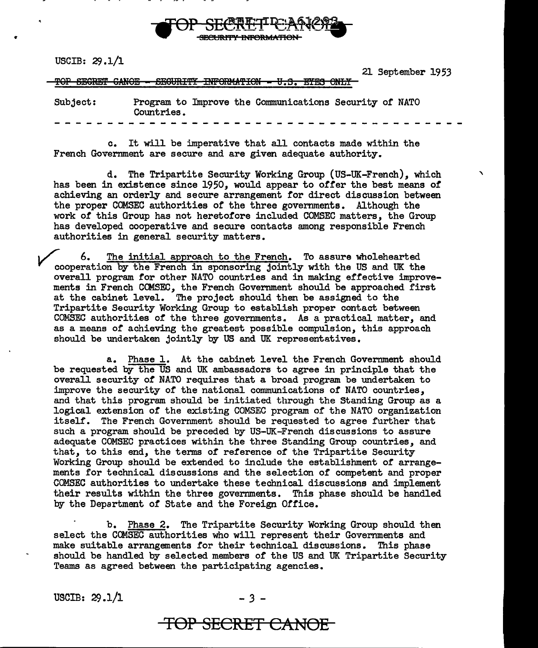

USCIB:  $29.1/1$ 

..

21 September 1953

TOP SEGRET GANOE - SEGURITY INFORMATION - U.S. ETES ONLY

| Subject: | Countries. | Program to Improve the Communications Security of NATO |  |
|----------|------------|--------------------------------------------------------|--|
|          |            |                                                        |  |

c. It will be imperative that all contacts made within the French Government are secure and are given adequate authority.

d. The Tripartite Security Working Group (US-UK-French), which " has been in existence since 1950, would appear to offer the best means of achieving an orderly and secure arrangement for direct discussion between the proper COMSEC authorities or the three governments. Although the work of this Group has not heretofore included COMSEC matters, the Group has developed cooperative and secure contacts among responsible French authorities in general security matters.

6. The initial approach to the French. To assure wholehearted cooperation by the French in sponsoring jointly with the US and UK the overall program for other NATO countries and in making effective improvements in French COMSEC, the French Government should be approached first at the cabinet level. The project should then be assigned to the Tripartite Security Working Group to establish proper contact between COMSEC authorities or the three governments. As a practical matter, and as a means *of* achieving the greatest possible compulsion, this approach should be undertaken jointly by US and UK representatives.

a. Phase 1. At the cabinet level the French Government should be requested by the US and UK ambassadors to agree in principle that the overall security or NATO requires that a broad program be undertaken to improve the security or the national communications or NATO countries, and that this program should be initiated through the Standing Group as a logical extension or the existing COMSEC program or the NATO organization itself. The French Government should be requested to agree further that such a program should be preceded by US-UK-French discussions to assure adequate COMSEC practices within the three Standing Group countries, and that, to this end, the terms of reference of the Tripartite Security Working Group should be extended to include the establishment *of* arrangements for technical discussions and the selection of competent and proper COMSEC authorities to undertake these technical discussions and implement their results within the three governments. This phase should be handled by the Department of State and the Foreign Office.

b. Phase 2. The Tripartite Security Working Group should then select the COMSEC authorities who will represent their Governments and make suitable arrangements for their technical discussions. This phase should be handled by selected members *of* the US and UK Tripartite Security Teams as agreed between the participating agencies.

USCIB:  $29.1/1$  - 3 -

## **TOP SECRET CANOE**